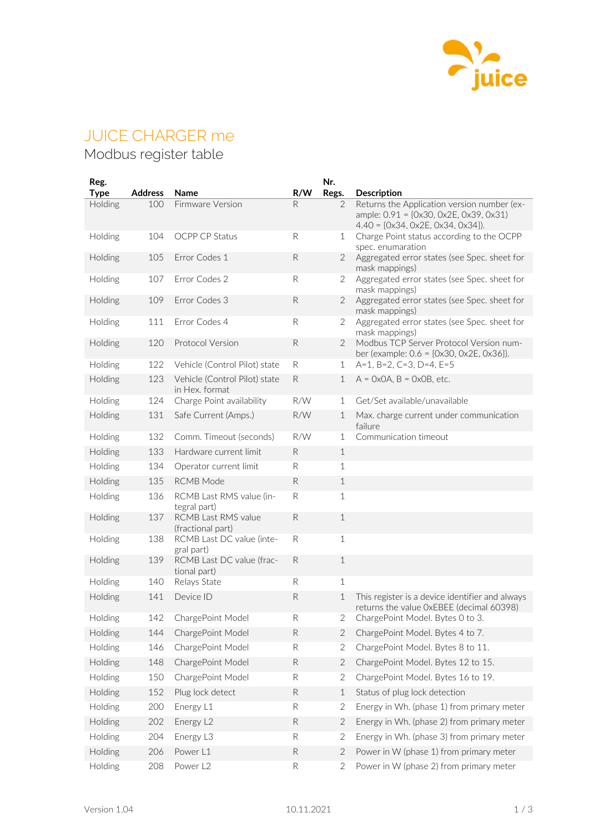

## JUICE CHARGER me

## Modbus register table

| Reg.<br>Type | <b>Address</b> | Name                                            | R/W          | Nr.<br>Regs.   | <b>Description</b>                                                                          |
|--------------|----------------|-------------------------------------------------|--------------|----------------|---------------------------------------------------------------------------------------------|
| Holding      | 100            | Firmware Version                                | R            | 2              | Returns the Application version number (ex-<br>ample: 0.91 = {0x30, 0x2E, 0x39, 0x31}       |
|              |                |                                                 |              |                | $4.40 = \{0x34, 0x2E, 0x34, 0x34\}.$                                                        |
| Holding      | 104            | OCPP CP Status                                  | R            | 1              | Charge Point status according to the OCPP<br>spec. enumaration                              |
| Holding      | 105            | Error Codes 1                                   | ${\sf R}$    | 2              | Aggregated error states (see Spec. sheet for<br>mask mappings)                              |
| Holding      | 107            | Error Codes 2                                   | R            | $\overline{2}$ | Aggregated error states (see Spec. sheet for<br>mask mappings)                              |
| Holding      | 109            | Error Codes 3                                   | ${\sf R}$    | 2              | Aggregated error states (see Spec. sheet for<br>mask mappings)                              |
| Holding      | 111            | Error Codes 4                                   | R            | 2              | Aggregated error states (see Spec. sheet for<br>mask mappings)                              |
| Holding      | 120            | Protocol Version                                | ${\sf R}$    | 2              | Modbus TCP Server Protocol Version num-<br>ber (example: $0.6 = \{0x30, 0x2E, 0x36\}$ ).    |
| Holding      | 122            | Vehicle (Control Pilot) state                   | R            | 1              | $A=1$ , B=2, C=3, D=4, E=5                                                                  |
| Holding      | 123            | Vehicle (Control Pilot) state<br>in Hex. format | $\mathsf{R}$ | $\mathbf 1$    | $A = 0x0A$ , $B = 0x0B$ , etc.                                                              |
| Holding      | 124            | Charge Point availability                       | R/W          | 1              | Get/Set available/unavailable                                                               |
| Holding      | 131            | Safe Current (Amps.)                            | R/W          | 1              | Max. charge current under communication<br>failure                                          |
| Holding      | 132            | Comm. Timeout (seconds)                         | R/W          | 1              | Communication timeout                                                                       |
| Holding      | 133            | Hardware current limit                          | $\mathsf{R}$ | $\mathbf 1$    |                                                                                             |
| Holding      | 134            | Operator current limit                          | R            | 1              |                                                                                             |
| Holding      | 135            | <b>RCMB</b> Mode                                | R            | $\mathbf 1$    |                                                                                             |
| Holding      | 136            | RCMB Last RMS value (in-<br>tegral part)        | R            | 1              |                                                                                             |
| Holding      | 137            | RCMB Last RMS value<br>(fractional part)        | $\mathsf{R}$ | $\mathbf 1$    |                                                                                             |
| Holding      | 138            | RCMB Last DC value (inte-<br>gral part)         | ${\sf R}$    | 1              |                                                                                             |
| Holding      | 139            | RCMB Last DC value (frac-<br>tional part)       | R            | $\mathbf 1$    |                                                                                             |
| Holding      | 140            | Relays State                                    | R            | 1              |                                                                                             |
| Holding      | 141            | Device ID                                       | R            | 1              | This register is a device identifier and always<br>returns the value OxEBEE (decimal 60398) |
| Holding      | 142            | ChargePoint Model                               | R            | 2              | ChargePoint Model. Bytes 0 to 3.                                                            |
| Holding      | 144            | ChargePoint Model                               | ${\sf R}$    | 2              | ChargePoint Model. Bytes 4 to 7.                                                            |
| Holding      | 146            | ChargePoint Model                               | R            | 2              | ChargePoint Model. Bytes 8 to 11.                                                           |
| Holding      | 148            | ChargePoint Model                               | ${\sf R}$    | 2              | ChargePoint Model. Bytes 12 to 15.                                                          |
| Holding      | 150            | ChargePoint Model                               | R            | 2              | ChargePoint Model. Bytes 16 to 19.                                                          |
| Holding      | 152            | Plug lock detect                                | ${\sf R}$    | 1              | Status of plug lock detection                                                               |
| Holding      | 200            | Energy L1                                       | R            | 2              | Energy in Wh. (phase 1) from primary meter                                                  |
| Holding      | 202            | Energy L2                                       | ${\sf R}$    | 2              | Energy in Wh. (phase 2) from primary meter                                                  |
| Holding      | 204            | Energy L3                                       | R            | 2              | Energy in Wh. (phase 3) from primary meter                                                  |
| Holding      | 206            | Power L1                                        | ${\sf R}$    | 2              | Power in W (phase 1) from primary meter                                                     |
| Holding      | 208            | Power L <sub>2</sub>                            | $\mathsf{R}$ | 2              | Power in W (phase 2) from primary meter                                                     |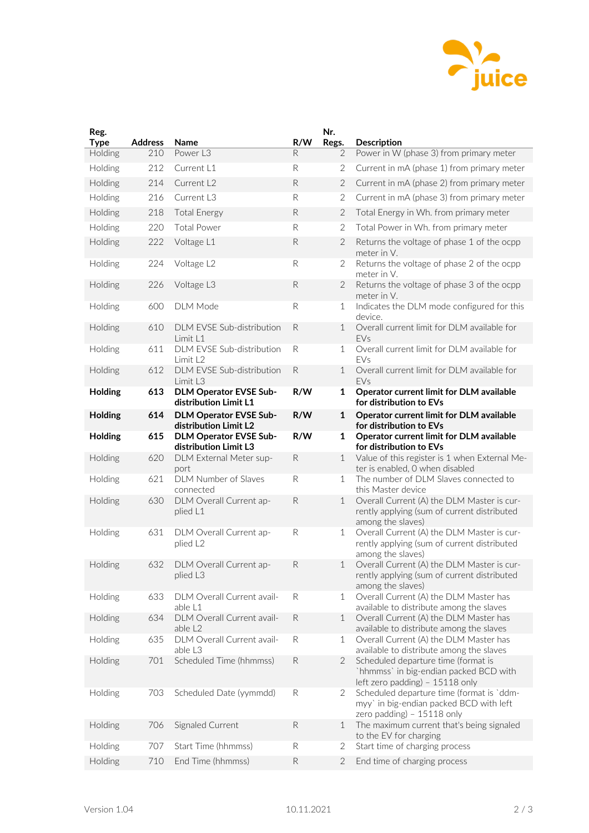

| Reg.<br><b>Type</b> | <b>Address</b> | Name                                                   | R/W          | Nr.<br>Regs.   | <b>Description</b>                                                                                                 |
|---------------------|----------------|--------------------------------------------------------|--------------|----------------|--------------------------------------------------------------------------------------------------------------------|
| Holding             | 210            | Power L3                                               | R            | 2              | Power in W (phase 3) from primary meter                                                                            |
| Holding             | 212            | Current L1                                             | R            | 2              | Current in mA (phase 1) from primary meter                                                                         |
| Holding             | 214            | Current L2                                             | $\mathsf{R}$ | $\overline{2}$ | Current in mA (phase 2) from primary meter                                                                         |
| Holding             | 216            | Current L3                                             | R            | 2              | Current in mA (phase 3) from primary meter                                                                         |
| Holding             | 218            | <b>Total Energy</b>                                    | ${\sf R}$    | $\overline{2}$ | Total Energy in Wh. from primary meter                                                                             |
| Holding             | 220            | <b>Total Power</b>                                     | R            | 2              | Total Power in Wh. from primary meter                                                                              |
| Holding             | 222            | Voltage L1                                             | $\mathsf{R}$ | 2              | Returns the voltage of phase 1 of the ocpp<br>meter in V.                                                          |
| Holding             | 224            | Voltage L2                                             | R            | 2              | Returns the voltage of phase 2 of the ocpp<br>meter in V.                                                          |
| Holding             | 226            | Voltage L3                                             | $\mathsf{R}$ | $\overline{2}$ | Returns the voltage of phase 3 of the ocpp<br>meter in V.                                                          |
| Holding             | 600            | <b>DLM Mode</b>                                        | ${\sf R}$    | $\mathbf{1}$   | Indicates the DLM mode configured for this<br>device.                                                              |
| Holding             | 610            | DLM EVSE Sub-distribution<br>Limit L1                  | ${\sf R}$    | $\mathbf 1$    | Overall current limit for DLM available for<br>EVs                                                                 |
| Holding             | 611            | DLM EVSE Sub-distribution<br>Limit L2                  | R            | 1              | Overall current limit for DLM available for<br>EVs                                                                 |
| Holding             | 612            | DLM EVSE Sub-distribution<br>Limit L <sub>3</sub>      | R            | $\mathbf 1$    | Overall current limit for DLM available for<br>FVs                                                                 |
| Holding             | 613            | <b>DLM Operator EVSE Sub-</b><br>distribution Limit L1 | R/W          | 1              | Operator current limit for DLM available<br>for distribution to EVs                                                |
| Holding             | 614            | <b>DLM Operator EVSE Sub-</b><br>distribution Limit L2 | R/W          | $\mathbf{1}$   | Operator current limit for DLM available<br>for distribution to EVs                                                |
| Holding             | 615            | <b>DLM Operator EVSE Sub-</b><br>distribution Limit L3 | R/W          | $\mathbf{1}$   | Operator current limit for DLM available<br>for distribution to EVs                                                |
| Holding             | 620            | DLM External Meter sup-<br>port                        | ${\sf R}$    | $\mathbf{1}$   | Value of this register is 1 when External Me-<br>ter is enabled, O when disabled                                   |
| Holding             | 621            | DLM Number of Slaves<br>connected                      | R            | $\mathbf{1}$   | The number of DLM Slaves connected to<br>this Master device                                                        |
| Holding             | 630            | DLM Overall Current ap-<br>plied L1                    | ${\sf R}$    | 1              | Overall Current (A) the DLM Master is cur-<br>rently applying (sum of current distributed<br>among the slaves)     |
| Holding             | 631            | DLM Overall Current ap-<br>plied L2                    | R            | $\mathbf{1}$   | Overall Current (A) the DLM Master is cur-<br>rently applying (sum of current distributed<br>among the slaves)     |
| Holding             | 632            | DLM Overall Current ap-<br>plied L3                    | R            | 1              | Overall Current (A) the DLM Master is cur-<br>rently applying (sum of current distributed<br>among the slaves)     |
| Holding             | 633            | DLM Overall Current avail-<br>able L1                  | R            | $\mathbf{1}$   | Overall Current (A) the DLM Master has<br>available to distribute among the slaves                                 |
| Holding             | 634            | DLM Overall Current avail-<br>able L2                  | R            | 1              | Overall Current (A) the DLM Master has<br>available to distribute among the slaves                                 |
| Holding             | 635            | DLM Overall Current avail-<br>able L3                  | R            | $\mathbf{1}$   | Overall Current (A) the DLM Master has<br>available to distribute among the slaves                                 |
| Holding             | 701            | Scheduled Time (hhmmss)                                | R            | $\overline{2}$ | Scheduled departure time (format is<br>`hhmmss` in big-endian packed BCD with<br>left zero padding) - 15118 only   |
| Holding             | 703            | Scheduled Date (yymmdd)                                | R            | 2              | Scheduled departure time (format is 'ddm-<br>myy' in big-endian packed BCD with left<br>zero padding) - 15118 only |
| Holding             | 706            | Signaled Current                                       | R            | $\mathbf{1}$   | The maximum current that's being signaled<br>to the EV for charging                                                |
| Holding             | 707            | Start Time (hhmmss)                                    | R            | 2              | Start time of charging process                                                                                     |
| Holding             | 710            | End Time (hhmmss)                                      | R            | $\overline{2}$ | End time of charging process                                                                                       |